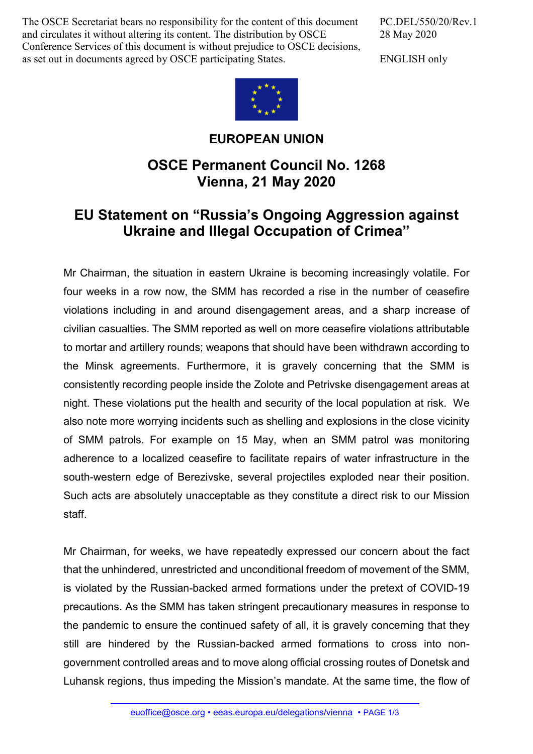The OSCE Secretariat bears no responsibility for the content of this document and circulates it without altering its content. The distribution by OSCE Conference Services of this document is without prejudice to OSCE decisions, as set out in documents agreed by OSCE participating States.

PC.DEL/550/20/Rev.1 28 May 2020

ENGLISH only



**EUROPEAN UNION**

## **OSCE Permanent Council No. 1268 Vienna, 21 May 2020**

## **EU Statement on "Russia's Ongoing Aggression against Ukraine and Illegal Occupation of Crimea"**

Mr Chairman, the situation in eastern Ukraine is becoming increasingly volatile. For four weeks in a row now, the SMM has recorded a rise in the number of ceasefire violations including in and around disengagement areas, and a sharp increase of civilian casualties. The SMM reported as well on more ceasefire violations attributable to mortar and artillery rounds; weapons that should have been withdrawn according to the Minsk agreements. Furthermore, it is gravely concerning that the SMM is consistently recording people inside the Zolote and Petrivske disengagement areas at night. These violations put the health and security of the local population at risk. We also note more worrying incidents such as shelling and explosions in the close vicinity of SMM patrols. For example on 15 May, when an SMM patrol was monitoring adherence to a localized ceasefire to facilitate repairs of water infrastructure in the south-western edge of Berezivske, several projectiles exploded near their position. Such acts are absolutely unacceptable as they constitute a direct risk to our Mission staff.

Mr Chairman, for weeks, we have repeatedly expressed our concern about the fact that the unhindered, unrestricted and unconditional freedom of movement of the SMM, is violated by the Russian-backed armed formations under the pretext of COVID-19 precautions. As the SMM has taken stringent precautionary measures in response to the pandemic to ensure the continued safety of all, it is gravely concerning that they still are hindered by the Russian-backed armed formations to cross into nongovernment controlled areas and to move along official crossing routes of Donetsk and Luhansk regions, thus impeding the Mission's mandate. At the same time, the flow of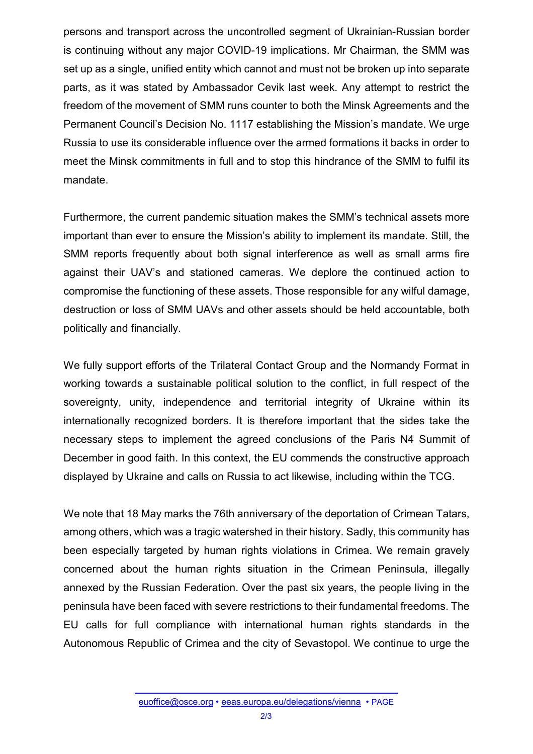persons and transport across the uncontrolled segment of Ukrainian-Russian border is continuing without any major COVID-19 implications. Mr Chairman, the SMM was set up as a single, unified entity which cannot and must not be broken up into separate parts, as it was stated by Ambassador Cevik last week. Any attempt to restrict the freedom of the movement of SMM runs counter to both the Minsk Agreements and the Permanent Council's Decision No. 1117 establishing the Mission's mandate. We urge Russia to use its considerable influence over the armed formations it backs in order to meet the Minsk commitments in full and to stop this hindrance of the SMM to fulfil its mandate.

Furthermore, the current pandemic situation makes the SMM's technical assets more important than ever to ensure the Mission's ability to implement its mandate. Still, the SMM reports frequently about both signal interference as well as small arms fire against their UAV's and stationed cameras. We deplore the continued action to compromise the functioning of these assets. Those responsible for any wilful damage, destruction or loss of SMM UAVs and other assets should be held accountable, both politically and financially.

We fully support efforts of the Trilateral Contact Group and the Normandy Format in working towards a sustainable political solution to the conflict, in full respect of the sovereignty, unity, independence and territorial integrity of Ukraine within its internationally recognized borders. It is therefore important that the sides take the necessary steps to implement the agreed conclusions of the Paris N4 Summit of December in good faith. In this context, the EU commends the constructive approach displayed by Ukraine and calls on Russia to act likewise, including within the TCG.

We note that 18 May marks the 76th anniversary of the deportation of Crimean Tatars, among others, which was a tragic watershed in their history. Sadly, this community has been especially targeted by human rights violations in Crimea. We remain gravely concerned about the human rights situation in the Crimean Peninsula, illegally annexed by the Russian Federation. Over the past six years, the people living in the peninsula have been faced with severe restrictions to their fundamental freedoms. The EU calls for full compliance with international human rights standards in the Autonomous Republic of Crimea and the city of Sevastopol. We continue to urge the